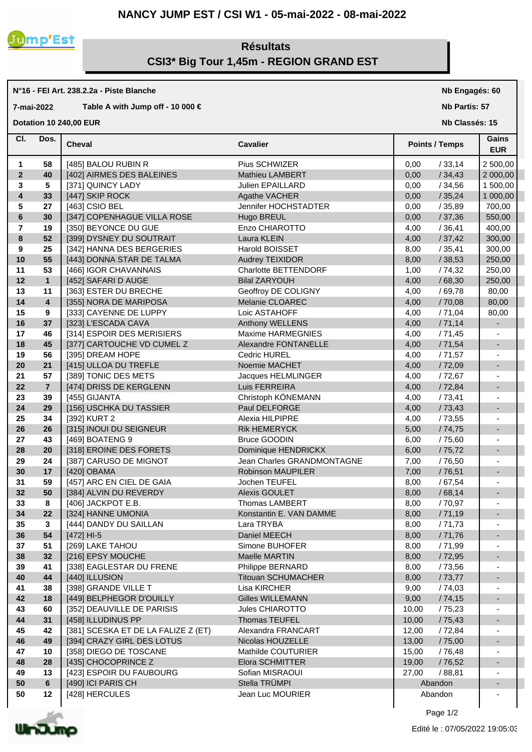## **NANCY JUMP EST / CSI W1 - 05-mai-2022 - 08-mai-2022**



**N°16 - FEI Art. 238.2.2a - Piste Blanche**

## **Résultats CSI3\* Big Tour 1,45m - REGION GRAND EST**

|                | Table A with Jump off - 10 000 $\in$<br>7-mai-2022 |                                     |                             |                       | Nb Partis: 57            |  |
|----------------|----------------------------------------------------|-------------------------------------|-----------------------------|-----------------------|--------------------------|--|
|                |                                                    | <b>Dotation 10 240,00 EUR</b>       |                             |                       | Nb Classés: 15           |  |
| CI.            | Dos.                                               | <b>Cheval</b>                       | <b>Cavalier</b>             | <b>Points / Temps</b> | Gains<br><b>EUR</b>      |  |
| $\mathbf{1}$   | 58                                                 | [485] BALOU RUBIN R                 | Pius SCHWIZER               | 0,00<br>/33,14        | 2 500,00                 |  |
| $\mathbf{2}$   | 40                                                 | [402] AIRMES DES BALEINES           | Mathieu LAMBERT             | /34,43<br>0,00        | 2 000,00                 |  |
| 3              | 5                                                  | [371] QUINCY LADY                   | Julien EPAILLARD            | 0,00<br>/34,56        | 1 500,00                 |  |
| 4              | 33                                                 | [447] SKIP ROCK                     | Agathe VACHER               | /35,24<br>0,00        | 1 000,00                 |  |
| 5              | 27                                                 | [463] CSIO BEL                      | Jennifer HOCHSTADTER        | 0,00<br>/35,89        | 700,00                   |  |
| $\bf 6$        | 30                                                 | [347] COPENHAGUE VILLA ROSE         | Hugo BREUL                  | /37,36<br>0,00        | 550,00                   |  |
| $\overline{7}$ | 19                                                 | [350] BEYONCE DU GUE                | Enzo CHIAROTTO              | 4,00<br>/36,41        | 400,00                   |  |
| 8              | 52                                                 | [399] DYSNEY DU SOUTRAIT            | Laura KLEIN                 | /37,42<br>4,00        | 300,00                   |  |
| 9              | 25                                                 | [342] HANNA DES BERGERIES           | Harold BOISSET              | /35,41<br>8,00        | 300,00                   |  |
| 10             | 55                                                 | [443] DONNA STAR DE TALMA           | Audrey TEIXIDOR             | /38,53<br>8,00        | 250,00                   |  |
| 11             | 53                                                 | [466] IGOR CHAVANNAIS               | <b>Charlotte BETTENDORF</b> | /74,32<br>1,00        | 250,00                   |  |
| 12             | $\mathbf{1}$                                       | [452] SAFARI D AUGE                 | <b>Bilal ZARYOUH</b>        | 4,00<br>/68,30        | 250,00                   |  |
| 13             | 11                                                 | [363] ESTER DU BRECHE               | Geoffroy DE COLIGNY         | 4,00<br>/69,78        | 80,00                    |  |
| 14             | $\overline{4}$                                     | [355] NORA DE MARIPOSA              | Melanie CLOAREC             | 4,00<br>/70,08        | 80,00                    |  |
| 15             | 9                                                  | [333] CAYENNE DE LUPPY              | Loic ASTAHOFF               | 4,00<br>/71,04        | 80,00                    |  |
| 16             | 37                                                 | [323] L'ESCADA CAVA                 | Anthony WELLENS             | /71,14<br>4,00        | $\blacksquare$           |  |
| 17             | 46                                                 | [314] ESPOIR DES MERISIERS          | Maxime HARMEGNIES           | /71,45<br>4,00        |                          |  |
| 18             | 45                                                 | [377] CARTOUCHE VD CUMEL Z          | Alexandre FONTANELLE        | /71,54<br>4,00        | $\blacksquare$           |  |
| 19             | 56                                                 | [395] DREAM HOPE                    | <b>Cedric HUREL</b>         | /71,57<br>4,00        |                          |  |
| 20             | 21                                                 | [415] ULLOA DU TREFLE               | Noemie MACHET               | /72,09<br>4,00        | $\blacksquare$           |  |
| 21             | 57                                                 | [389] TONIC DES METS                | Jacques HELMLINGER          | / 72,67<br>4,00       |                          |  |
| 22             | $\overline{7}$                                     | [474] DRISS DE KERGLENN             | Luis FERREIRA               | /72,84<br>4,00        | $\overline{\phantom{a}}$ |  |
| 23             | 39                                                 | [455] GIJANTA                       | Christoph KÖNEMANN          | /73,41<br>4,00        |                          |  |
| 24             | 29                                                 | [156] USCHKA DU TASSIER             | Paul DELFORGE               | 4,00<br>/73,43        | $\overline{\phantom{a}}$ |  |
| 25             | 34                                                 | [392] KURT 2                        | Alexia HILPIPRE             | / 73,55<br>4,00       |                          |  |
| 26             | 26                                                 | [315] INOUI DU SEIGNEUR             | <b>Rik HEMERYCK</b>         | 5,00<br>/74,75        | $\overline{\phantom{a}}$ |  |
| 27             | 43                                                 | [469] BOATENG 9                     | <b>Bruce GOODIN</b>         | / 75,60<br>6,00       |                          |  |
| 28             | 20                                                 | [318] EROINE DES FORETS             | Dominique HENDRICKX         | 6,00<br>/75,72        | $\overline{\phantom{a}}$ |  |
| 29             | 24                                                 | [387] CARUSO DE MIGNOT              | Jean Charles GRANDMONTAGNE  | 7,00<br>/76,50        |                          |  |
| 30             | 17                                                 | [420] OBAMA                         | Robinson MAUPILER           | 7,00<br>/76,51        | $\overline{\phantom{a}}$ |  |
| 31             | 59                                                 | [457] ARC EN CIEL DE GAIA           | Jochen TEUFEL               | 8,00<br>/67,54        |                          |  |
| 32             | 50                                                 | [384] ALVIN DU REVERDY              | Alexis GOULET               | /68,14<br>8,00        |                          |  |
| 33             | 8                                                  | [406] JACKPOT E.B.                  | Thomas LAMBERT              | 8,00<br>/ 70,97       | ۰                        |  |
| 34             | 22                                                 | [324] HANNE UMONIA                  | Konstantin E. VAN DAMME     | /71,19<br>8,00        | $\blacksquare$           |  |
| 35             | 3                                                  | [444] DANDY DU SAILLAN              | Lara TRYBA                  | 8,00<br>/71,73        | ٠                        |  |
| 36             | 54                                                 | $[472]$ HI-5                        | Daniel MEECH                | /71,76<br>8,00        | $\overline{\phantom{a}}$ |  |
| 37             | 51                                                 | [269] LAKE TAHOU                    | Simone BUHOFER              | / 71,99<br>8,00       |                          |  |
| 38             | 32                                                 | [216] EPSY MOUCHE                   | Maelle MARTIN               | /72,95<br>8,00        | $\overline{\phantom{a}}$ |  |
| 39             | 41                                                 | [338] EAGLESTAR DU FRENE            | Philippe BERNARD            | 8,00<br>/73,56        |                          |  |
| 40             | 44                                                 | [440] ILLUSION                      | <b>Titouan SCHUMACHER</b>   | /73,77<br>8,00        | $\blacksquare$           |  |
| 41             | 38                                                 | [398] GRANDE VILLE T                | Lisa KIRCHER                | 9,00<br>/74,03        |                          |  |
| 42             | 18                                                 | [449] BELPHEGOR D'OUILLY            | <b>Gilles WILLEMANN</b>     | 9,00<br>/74,15        | $\blacksquare$           |  |
| 43             | 60                                                 | [352] DEAUVILLE DE PARISIS          | Jules CHIAROTTO             | 10,00<br>/75,23       |                          |  |
| 44             | 31                                                 | [458] ILLUDINUS PP                  | Thomas TEUFEL               | 10,00<br>/75,43       | $\overline{\phantom{a}}$ |  |
| 45             | 42                                                 | [381] SCESKA ET DE LA FALIZE Z (ET) | Alexandra FRANCART          | 12,00<br>/ 72,84      |                          |  |
| 46             | 49                                                 | [394] CRAZY GIRL DES LOTUS          | Nicolas HOUZELLE            | 13,00<br>/75,00       | $\overline{\phantom{a}}$ |  |
| 47             | 10                                                 | [358] DIEGO DE TOSCANE              | Mathilde COUTURIER          | 15,00<br>/76,48       |                          |  |
| 48             | 28                                                 | [435] CHOCOPRINCE Z                 | Elora SCHMITTER             | 19,00<br>/76,52       | $\blacksquare$           |  |
| 49             | 13                                                 | [423] ESPOIR DU FAUBOURG            | Sofian MISRAOUI             | 27,00<br>/88,81       | $\overline{\phantom{a}}$ |  |
| 50             | 6                                                  | [490] ICI PARIS CH                  | Stella TRÜMPI               | Abandon               | ۰                        |  |
| 50             | 12                                                 | [428] HERCULES                      | Jean Luc MOURIER            | Abandon               |                          |  |
|                |                                                    |                                     |                             |                       |                          |  |



**Nb Engagés: 60**